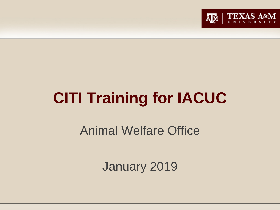

# **CITI Training for IACUC**

Animal Welfare Office

January 2019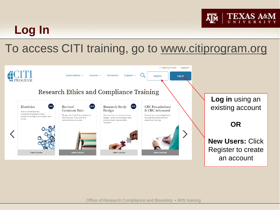### **TEXA**

### **Log In**

### To access CITI training, go to [www.citiprogram.org](http://www.citiprogram.org/)

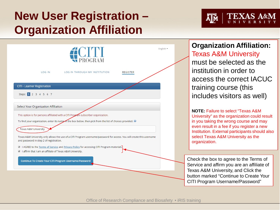### **New User Registration – Organization Affiliation**





**Organization Affiliation:** Texas A&M University must be selected as the institution in order to access the correct IACUC training course (this includes visitors as well)

**NOTE:** Failure to select "Texas A&M University" as the organization could result in you taking the wrong course and may even result in a fee if you register a new Institution. External participants should also select Texas A&M University as the organization.

Check the box to agree to the Terms of Service and affirm you are an affiliate of Texas A&M University, and Click the button marked "Continue to Create Your CITI Program Username/Password"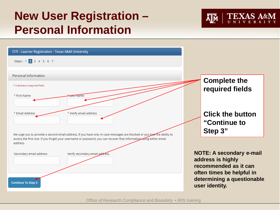### **New User Registration – Personal Information**



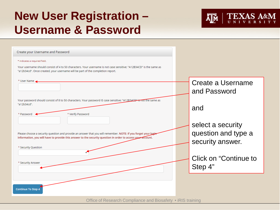### **New User Registration – Username & Password**



| Create your Username and Password                                                                                                                                                                    |                       |
|------------------------------------------------------------------------------------------------------------------------------------------------------------------------------------------------------|-----------------------|
| $^\star$ indicates a required field.                                                                                                                                                                 |                       |
| Your username should consist of 4 to 50 characters. Your username is not case sensitive: "A12B34CD" is the same as<br>"a12b34cd". Once created, your username will be part of the completion report. |                       |
|                                                                                                                                                                                                      |                       |
| * User Name                                                                                                                                                                                          | Create a Username     |
|                                                                                                                                                                                                      | and Password          |
|                                                                                                                                                                                                      |                       |
| Your password should consist of 8 to 50 characters. Your password IS case sensitive; "A12B34CD" is not the same as<br>"a12b34cd".                                                                    |                       |
|                                                                                                                                                                                                      | and                   |
| * Verify Password<br>* Password                                                                                                                                                                      |                       |
|                                                                                                                                                                                                      | select a security     |
| Please choose a security question and provide an answer that you will remember. NOTE: If you forget your login                                                                                       | question and type a   |
| information, you will have to provide this answer to the security question in order to access your account.                                                                                          |                       |
|                                                                                                                                                                                                      | security answer.      |
| * Security Question                                                                                                                                                                                  |                       |
|                                                                                                                                                                                                      | Click on "Continue to |
| * Security Answer                                                                                                                                                                                    | Step 4"               |
|                                                                                                                                                                                                      |                       |
|                                                                                                                                                                                                      |                       |
|                                                                                                                                                                                                      |                       |
| <b>Continue To Step 4</b>                                                                                                                                                                            |                       |
|                                                                                                                                                                                                      |                       |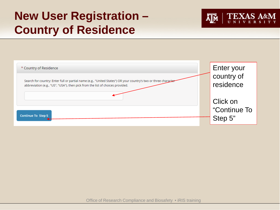### **New User Registration – Country of Residence**



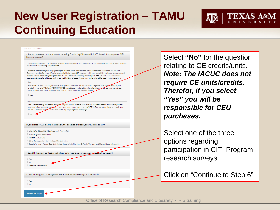### **New User Registration – TAMU Continuing Education**



### \* indicates a required field.

\* Are you interested in the option of receiving Continuing Education Unit (CEU) credit for completed CITI Program courses?

CITI is pleased to offer CE credits and units for purchase to learners qualifying for CE eligibility while concurrently meeting their institutions training requirements.

CE credits/units for physicians, psychologists, nurses, social workers and other professions allowed to use AMA PRA Category 1 credits for re-certification are available for many CITI courses - with that availability indicated on course and module listings. Please register your interest for CE credits below by checking the "YES" or "NO" dots, and, when applicable, types of credits you wish to earn at bottom of page. Please read texts entered for each option carefully

### - Yes

44 At the start of your course, you will be prompted to click on a "CE Information" page link located ne top of your grade book and to VIEW and ACKNOWLEDGE accreditation and credit designation statements, learning objectives, faculty disclosures, types, number and costs of credits available for your course.

 $@$  Vec

The CE functionality will not be activated for your course. Credits and units will therefore not be available to you for purchase after you start your course. You can change your preference to "YES" before such time however by clicking on the "CE Credit Status Tab located at the top of your grade book page.

If you picked "YES", please check below the one type of credit you would like to earn

- <sup>©</sup> MDs, DOs, PAs AMA PRA Category 1 Credits TM
- Psychologists APA Credits
- Nurses ANCC CNF
- <sup>©</sup> Other Participants Certificates of Participation
- Social Workers Florida Board of Clinical Social Work, Marriage & Family Therapy and Mental Health Counseling

\* Can CITI Program contact you at a later date regarding participation in research surveys?

 $@$  No Not sure. Ask me later

\* Can CITI Program contact you at a later date with marketing information? @

 $\circ$  Yes  $\circ$  No

**Continue To Step 6** 

 $@$  Yes

Select **"No"** for the question relating to CE credits/units. *Note: The IACUC does not require CE units/credits. Therefor, if you select "Yes" you will be responsible for CEU purchases.*

Select one of the three options regarding participation in CITI Program research surveys.

Click on "Continue to Step 6"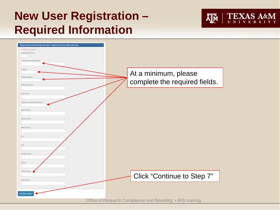### **New User Registration – Required Information**



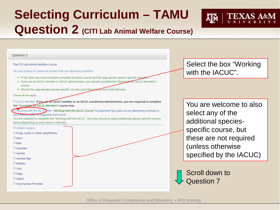## **Selecting Curriculum – TAMU Question 2 (CITI Lab Animal Welfare Course)**



### Do you conduct or supervise studies that use laboratory animals? • If YES, then you must complete complete the Basic course and the appropriate species-specific modul • If you are an IACUC member or IACUC administrator, you should complete the "Essentials for IACUC Members" course. . Choose the appropriate species-specific courses according to your work and interests. Choose all that apply I IACUC Member: If you are an IACUC member or an IACUC coordinator/administrator, you are required to complete the "Essentials for IACUC Members" course now. Working with the IACUO The "*Working with the IACUC Course*" is required if you plan to use laboratory animals in your work or plan to supervise such work. You are required to complete the "Working with the IACUC". You may choose to select additional species-specific courses below depending on your work or interests. Aseptic Surgery Frogs, toads or other amphibians.  $\Box$  Mice  $\Box$  Rats  $\Box$  Hamster  $\Box$  Gerbils Guinea Pigs  $\Box$  Rabbits  $\Box$  Cats Dogs Swine Non-Human Primates

**Ouestion 2** 

The CITI Lab Animal Welfare Course

Select the box "Working with the IACUC".

You are welcome to also select any of the additional speciesspecific course, but these are not required (unless otherwise specified by the IACUC)

Scroll down to Question 7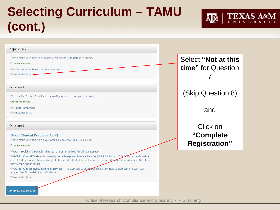## **Selecting Curriculum – TAMU (cont.)**



| Select "Not at this<br>time" for Question      |
|------------------------------------------------|
| (Skip Question 8)                              |
| and                                            |
| Click on<br>"Complete"<br><b>Registration"</b> |
|                                                |
|                                                |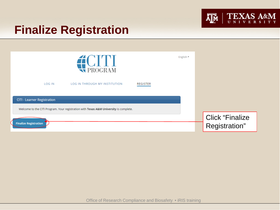

### **Finalize Registration**

| <b>EXPROGRAM</b>                                                                                                            | English * |                                         |  |
|-----------------------------------------------------------------------------------------------------------------------------|-----------|-----------------------------------------|--|
| LOG IN<br><b>LOG IN THROUGH MY INSTITUTION</b><br><b>REGISTER</b>                                                           |           |                                         |  |
| <b>CITI - Learner Registration</b><br>Welcome to the CITI Program. Your registration with Texas A&M University is complete. |           |                                         |  |
| <b>Finalize Registration</b>                                                                                                |           | <b>Click "Finalize</b><br>Registration" |  |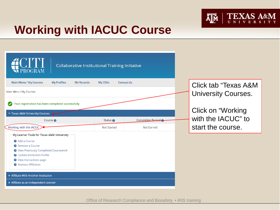

### **Working with IACUC Course**

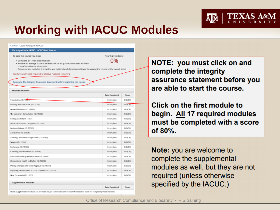

### **Working with IACUC Modules**

| Main Menu > Course Working with the IACUC                                                                                                                                                                                                                                  |                |                    |  |
|----------------------------------------------------------------------------------------------------------------------------------------------------------------------------------------------------------------------------------------------------------------------------|----------------|--------------------|--|
| Working with the IACUC - IACUC Basic Course                                                                                                                                                                                                                                |                |                    |  |
| To pass this course you must:                                                                                                                                                                                                                                              |                | Your Current Score |  |
| · Complete all 17 required modules<br>- Achieve an average score of at least 80% on all quizzes associated with this<br>course's module requirements<br>- Supplemental modules, if provided, are optional and do not count towards passing the course or the overall score | በ‰             |                    |  |
| You have unfinished required or elective modules remaining                                                                                                                                                                                                                 |                |                    |  |
| Complete The Integrity Assurance Statement before beginning the course                                                                                                                                                                                                     |                |                    |  |
| <b>Required Modules</b>                                                                                                                                                                                                                                                    |                |                    |  |
|                                                                                                                                                                                                                                                                            | Date Completed | Score              |  |
| Introduction (ID: 155-77                                                                                                                                                                                                                                                   | incomplete     | (I/O (O%)          |  |
| Working With The IACUC (ID: 15358)                                                                                                                                                                                                                                         | incomplete     | (1/0 (0%)          |  |
| Federal Mandates (ID: 15359)                                                                                                                                                                                                                                               | Incomplete     | (I/O (O%)          |  |
| The Veterinary Consultation (ID: 15360)                                                                                                                                                                                                                                    | incomplete     | (I/O (O%)          |  |
| Getting Started (ID: 15361)                                                                                                                                                                                                                                                | incomplete     | (1/0 (0%)          |  |
| USDA Pain/Distress Categories (ID: 15362)                                                                                                                                                                                                                                  | Incomplete     | (I/O (O%)          |  |
| Endpoint Criteria (ID: 15363)                                                                                                                                                                                                                                              | incomplete     | (3/0 (0%)          |  |
| Alternatives (ID: 15364)                                                                                                                                                                                                                                                   | Incomplete     | (I/O (O%)          |  |
| Avoiding Unnecessary Duplication (ID: 15365)                                                                                                                                                                                                                               | Incomplete     | (I/O (O%)          |  |
| Surgery (ID: 15366)                                                                                                                                                                                                                                                        | Incomplete     | (I/O (O%)          |  |
| Euthanasia (ID: 15367)                                                                                                                                                                                                                                                     | incomplete     | (I/O (O%)          |  |
| Collecting Blood Samples (ID: 15368)                                                                                                                                                                                                                                       | Incomplete     | (LAD (O96)         |  |
| Personnel Training and Experience (ID: 15369)                                                                                                                                                                                                                              | Incomplete     | (3/0 (0%)          |  |
| Occupational Health and Safety (ID: 15370)                                                                                                                                                                                                                                 | Incomplete     | (LAD (O%)          |  |
| Making Changes After Initial Approval (ID: 15371)                                                                                                                                                                                                                          | Incomplete     | (I/O (O%)          |  |
| Reporting Mistreatment or non-Compliance (ID: 15372)                                                                                                                                                                                                                       | Incomplete     | (I/O (O%)          |  |
| Final Comments (ID: 15373)                                                                                                                                                                                                                                                 | Incomplete     | (I/O (O%)          |  |
| Supplemental Modules                                                                                                                                                                                                                                                       |                |                    |  |
|                                                                                                                                                                                                                                                                            |                |                    |  |

NOTE: you must click on and complete the integrity assurance statement before you are able to start the course.

Click on the first module to begin. All 17 required modules must be completed with a score of 80%.

**Note:** you are welcome to complete the supplemental modules as well, but they are not required (unless otherwise specified by the IACUC.)